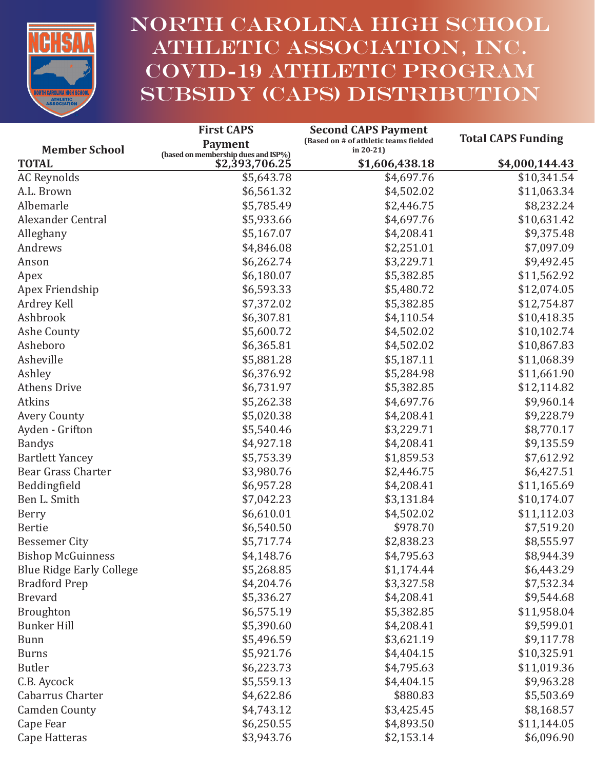

## North carolina high school athletic association, inc. COVID-19 ATHLETIC PROGRAM subsidy (CAPS) distribution

|                                 | <b>First CAPS</b>                                     | <b>Second CAPS Payment</b>                            |                           |
|---------------------------------|-------------------------------------------------------|-------------------------------------------------------|---------------------------|
| <b>Member School</b>            | <b>Payment</b>                                        | (Based on # of athletic teams fielded<br>in $20-21$ ) | <b>Total CAPS Funding</b> |
| <b>TOTAL</b>                    | (based on membership dues and ISP%)<br>\$2,393,706.25 | \$1,606,438.18                                        | \$4,000,144.43            |
| <b>AC Reynolds</b>              | \$5,643.78                                            | \$4,697.76                                            | \$10,341.54               |
| A.L. Brown                      | \$6,561.32                                            | \$4,502.02                                            | \$11,063.34               |
| Albemarle                       | \$5,785.49                                            | \$2,446.75                                            | \$8,232.24                |
| Alexander Central               | \$5,933.66                                            | \$4,697.76                                            | \$10,631.42               |
| Alleghany                       | \$5,167.07                                            | \$4,208.41                                            | \$9,375.48                |
| Andrews                         | \$4,846.08                                            | \$2,251.01                                            | \$7,097.09                |
| Anson                           | \$6,262.74                                            | \$3,229.71                                            | \$9,492.45                |
| Apex                            | \$6,180.07                                            | \$5,382.85                                            | \$11,562.92               |
| Apex Friendship                 | \$6,593.33                                            | \$5,480.72                                            | \$12,074.05               |
| Ardrey Kell                     | \$7,372.02                                            | \$5,382.85                                            | \$12,754.87               |
| Ashbrook                        | \$6,307.81                                            | \$4,110.54                                            | \$10,418.35               |
| Ashe County                     | \$5,600.72                                            | \$4,502.02                                            | \$10,102.74               |
| Asheboro                        | \$6,365.81                                            | \$4,502.02                                            | \$10,867.83               |
| Asheville                       | \$5,881.28                                            | \$5,187.11                                            | \$11,068.39               |
| Ashley                          | \$6,376.92                                            | \$5,284.98                                            | \$11,661.90               |
| <b>Athens Drive</b>             | \$6,731.97                                            | \$5,382.85                                            | \$12,114.82               |
| Atkins                          | \$5,262.38                                            | \$4,697.76                                            | \$9,960.14                |
| <b>Avery County</b>             | \$5,020.38                                            | \$4,208.41                                            | \$9,228.79                |
| Ayden - Grifton                 | \$5,540.46                                            | \$3,229.71                                            | \$8,770.17                |
| <b>Bandys</b>                   | \$4,927.18                                            | \$4,208.41                                            | \$9,135.59                |
| <b>Bartlett Yancey</b>          | \$5,753.39                                            | \$1,859.53                                            | \$7,612.92                |
| Bear Grass Charter              | \$3,980.76                                            | \$2,446.75                                            | \$6,427.51                |
| Beddingfield                    | \$6,957.28                                            | \$4,208.41                                            | \$11,165.69               |
| Ben L. Smith                    | \$7,042.23                                            | \$3,131.84                                            | \$10,174.07               |
| Berry                           | \$6,610.01                                            | \$4,502.02                                            | \$11,112.03               |
| <b>Bertie</b>                   | \$6,540.50                                            | \$978.70                                              | \$7,519.20                |
| <b>Bessemer City</b>            | \$5,717.74                                            | \$2,838.23                                            | \$8,555.97                |
| <b>Bishop McGuinness</b>        | \$4,148.76                                            | \$4,795.63                                            | \$8,944.39                |
| <b>Blue Ridge Early College</b> | \$5,268.85                                            | \$1,174.44                                            | \$6,443.29                |
| <b>Bradford Prep</b>            | \$4,204.76                                            | \$3,327.58                                            | \$7,532.34                |
| <b>Brevard</b>                  | \$5,336.27                                            | \$4,208.41                                            | \$9,544.68                |
| <b>Broughton</b>                | \$6,575.19                                            | \$5,382.85                                            | \$11,958.04               |
| <b>Bunker Hill</b>              | \$5,390.60                                            | \$4,208.41                                            | \$9,599.01                |
| <b>Bunn</b>                     | \$5,496.59                                            | \$3,621.19                                            | \$9,117.78                |
| <b>Burns</b>                    | \$5,921.76                                            | \$4,404.15                                            | \$10,325.91               |
| <b>Butler</b>                   | \$6,223.73                                            | \$4,795.63                                            | \$11,019.36               |
| C.B. Aycock                     | \$5,559.13                                            | \$4,404.15                                            | \$9,963.28                |
| Cabarrus Charter                | \$4,622.86                                            | \$880.83                                              | \$5,503.69                |
| <b>Camden County</b>            | \$4,743.12                                            | \$3,425.45                                            | \$8,168.57                |
| Cape Fear                       | \$6,250.55                                            | \$4,893.50                                            | \$11,144.05               |
| Cape Hatteras                   | \$3,943.76                                            | \$2,153.14                                            | \$6,096.90                |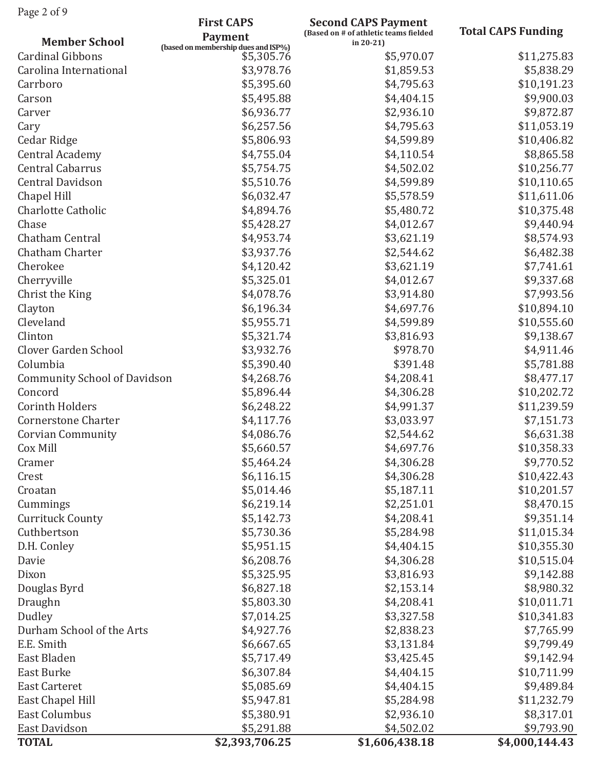Page 2 of 9

|                                     | <b>First CAPS</b>                                 | <b>Second CAPS Payment</b>                            |                            |
|-------------------------------------|---------------------------------------------------|-------------------------------------------------------|----------------------------|
| <b>Member School</b>                | <b>Payment</b>                                    | (Based on # of athletic teams fielded<br>in $20-21$ ) | <b>Total CAPS Funding</b>  |
| <b>Cardinal Gibbons</b>             | (based on membership dues and ISP%)<br>\$5,305.76 | \$5,970.07                                            | \$11,275.83                |
| Carolina International              | \$3,978.76                                        | \$1,859.53                                            | \$5,838.29                 |
| Carrboro                            | \$5,395.60                                        | \$4,795.63                                            | \$10,191.23                |
| Carson                              | \$5,495.88                                        | \$4,404.15                                            | \$9,900.03                 |
| Carver                              | \$6,936.77                                        | \$2,936.10                                            | \$9,872.87                 |
| Cary                                | \$6,257.56                                        | \$4,795.63                                            | \$11,053.19                |
| Cedar Ridge                         | \$5,806.93                                        | \$4,599.89                                            | \$10,406.82                |
| <b>Central Academy</b>              | \$4,755.04                                        | \$4,110.54                                            | \$8,865.58                 |
| <b>Central Cabarrus</b>             | \$5,754.75                                        | \$4,502.02                                            | \$10,256.77                |
| <b>Central Davidson</b>             | \$5,510.76                                        | \$4,599.89                                            |                            |
|                                     |                                                   | \$5,578.59                                            | \$10,110.65<br>\$11,611.06 |
| Chapel Hill<br>Charlotte Catholic   | \$6,032.47<br>\$4,894.76                          |                                                       |                            |
|                                     |                                                   | \$5,480.72                                            | \$10,375.48                |
| Chase                               | \$5,428.27                                        | \$4,012.67                                            | \$9,440.94                 |
| Chatham Central                     | \$4,953.74                                        | \$3,621.19                                            | \$8,574.93                 |
| Chatham Charter                     | \$3,937.76                                        | \$2,544.62                                            | \$6,482.38                 |
| Cherokee                            | \$4,120.42                                        | \$3,621.19                                            | \$7,741.61                 |
| Cherryville                         | \$5,325.01                                        | \$4,012.67                                            | \$9,337.68                 |
| Christ the King                     | \$4,078.76                                        | \$3,914.80                                            | \$7,993.56                 |
| Clayton                             | \$6,196.34                                        | \$4,697.76                                            | \$10,894.10                |
| Cleveland                           | \$5,955.71                                        | \$4,599.89                                            | \$10,555.60                |
| Clinton                             | \$5,321.74                                        | \$3,816.93                                            | \$9,138.67                 |
| Clover Garden School                | \$3,932.76                                        | \$978.70                                              | \$4,911.46                 |
| Columbia                            | \$5,390.40                                        | \$391.48                                              | \$5,781.88                 |
| <b>Community School of Davidson</b> | \$4,268.76                                        | \$4,208.41                                            | \$8,477.17                 |
| Concord                             | \$5,896.44                                        | \$4,306.28                                            | \$10,202.72                |
| <b>Corinth Holders</b>              | \$6,248.22                                        | \$4,991.37                                            | \$11,239.59                |
| <b>Cornerstone Charter</b>          | \$4,117.76                                        | \$3,033.97                                            | \$7,151.73                 |
| Corvian Community                   | \$4,086.76                                        | \$2,544.62                                            | \$6,631.38                 |
| Cox Mill                            | \$5,660.57                                        | \$4,697.76                                            | \$10,358.33                |
| Cramer                              | \$5,464.24                                        | \$4,306.28                                            | \$9,770.52                 |
| Crest                               | \$6,116.15                                        | \$4,306.28                                            | \$10,422.43                |
| Croatan                             | \$5,014.46                                        | \$5,187.11                                            | \$10,201.57                |
| Cummings                            | \$6,219.14                                        | \$2,251.01                                            | \$8,470.15                 |
| <b>Currituck County</b>             | \$5,142.73                                        | \$4,208.41                                            | \$9,351.14                 |
| Cuthbertson                         | \$5,730.36                                        | \$5,284.98                                            | \$11,015.34                |
| D.H. Conley                         | \$5,951.15                                        | \$4,404.15                                            | \$10,355.30                |
| Davie                               | \$6,208.76                                        | \$4,306.28                                            | \$10,515.04                |
| Dixon                               | \$5,325.95                                        | \$3,816.93                                            | \$9,142.88                 |
| Douglas Byrd                        | \$6,827.18                                        | \$2,153.14                                            | \$8,980.32                 |
| Draughn                             | \$5,803.30                                        | \$4,208.41                                            | \$10,011.71                |
| Dudley                              | \$7,014.25                                        | \$3,327.58                                            | \$10,341.83                |
| Durham School of the Arts           | \$4,927.76                                        | \$2,838.23                                            | \$7,765.99                 |
| E.E. Smith                          | \$6,667.65                                        | \$3,131.84                                            | \$9,799.49                 |
| East Bladen                         | \$5,717.49                                        | \$3,425.45                                            | \$9,142.94                 |
| <b>East Burke</b>                   | \$6,307.84                                        | \$4,404.15                                            | \$10,711.99                |
| <b>East Carteret</b>                | \$5,085.69                                        | \$4,404.15                                            | \$9,489.84                 |
| East Chapel Hill                    | \$5,947.81                                        | \$5,284.98                                            | \$11,232.79                |
| <b>East Columbus</b>                | \$5,380.91                                        | \$2,936.10                                            | \$8,317.01                 |
| East Davidson                       | \$5,291.88                                        | \$4,502.02                                            | \$9,793.90                 |
| <b>TOTAL</b>                        | \$2,393,706.25                                    | \$1,606,438.18                                        | \$4,000,144.43             |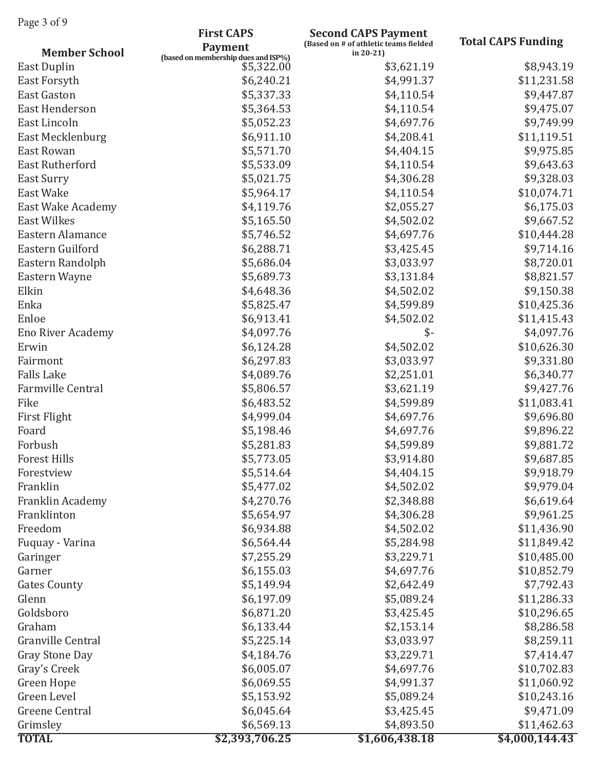Page 3 of 9

|                          | <b>First CAPS</b>                                 | <b>Second CAPS Payment</b>                            |                           |
|--------------------------|---------------------------------------------------|-------------------------------------------------------|---------------------------|
| <b>Member School</b>     | <b>Payment</b>                                    | (Based on # of athletic teams fielded<br>in $20-21$ ) | <b>Total CAPS Funding</b> |
| East Duplin              | (based on membership dues and ISP%)<br>\$5,322.00 | \$3,621.19                                            | \$8,943.19                |
| East Forsyth             | \$6,240.21                                        | \$4,991.37                                            | \$11,231.58               |
| <b>East Gaston</b>       | \$5,337.33                                        | \$4,110.54                                            | \$9,447.87                |
| <b>East Henderson</b>    | \$5,364.53                                        | \$4,110.54                                            | \$9,475.07                |
| East Lincoln             | \$5,052.23                                        | \$4,697.76                                            | \$9,749.99                |
| East Mecklenburg         | \$6,911.10                                        | \$4,208.41                                            | \$11,119.51               |
| East Rowan               | \$5,571.70                                        | \$4,404.15                                            | \$9,975.85                |
| <b>East Rutherford</b>   | \$5,533.09                                        | \$4,110.54                                            | \$9,643.63                |
| <b>East Surry</b>        | \$5,021.75                                        | \$4,306.28                                            | \$9,328.03                |
| <b>East Wake</b>         | \$5,964.17                                        | \$4,110.54                                            | \$10,074.71               |
| East Wake Academy        | \$4,119.76                                        | \$2,055.27                                            | \$6,175.03                |
| <b>East Wilkes</b>       | \$5,165.50                                        | \$4,502.02                                            | \$9,667.52                |
| Eastern Alamance         | \$5,746.52                                        | \$4,697.76                                            | \$10,444.28               |
| Eastern Guilford         | \$6,288.71                                        | \$3,425.45                                            | \$9,714.16                |
| Eastern Randolph         | \$5,686.04                                        | \$3,033.97                                            | \$8,720.01                |
|                          |                                                   |                                                       |                           |
| Eastern Wayne            | \$5,689.73                                        | \$3,131.84                                            | \$8,821.57                |
| Elkin                    | \$4,648.36                                        | \$4,502.02                                            | \$9,150.38                |
| Enka                     | \$5,825.47                                        | \$4,599.89                                            | \$10,425.36               |
| Enloe                    | \$6,913.41                                        | \$4,502.02                                            | \$11,415.43               |
| <b>Eno River Academy</b> | \$4,097.76                                        | \$-                                                   | \$4,097.76                |
| Erwin                    | \$6,124.28                                        | \$4,502.02                                            | \$10,626.30               |
| Fairmont                 | \$6,297.83                                        | \$3,033.97                                            | \$9,331.80                |
| <b>Falls Lake</b>        | \$4,089.76                                        | \$2,251.01                                            | \$6,340.77                |
| Farmville Central        | \$5,806.57                                        | \$3,621.19                                            | \$9,427.76                |
| Fike                     | \$6,483.52                                        | \$4,599.89                                            | \$11,083.41               |
| First Flight             | \$4,999.04                                        | \$4,697.76                                            | \$9,696.80                |
| Foard                    | \$5,198.46                                        | \$4,697.76                                            | \$9,896.22                |
| Forbush                  | \$5,281.83                                        | \$4,599.89                                            | \$9,881.72                |
| <b>Forest Hills</b>      | \$5,773.05                                        | \$3,914.80                                            | \$9,687.85                |
| Forestview               | \$5,514.64                                        | \$4,404.15                                            | \$9,918.79                |
| Franklin                 | \$5,477.02                                        | \$4,502.02                                            | \$9,979.04                |
| Franklin Academy         | \$4,270.76                                        | \$2,348.88                                            | \$6,619.64                |
| Franklinton              | \$5,654.97                                        | \$4,306.28                                            | \$9,961.25                |
| Freedom                  | \$6,934.88                                        | \$4,502.02                                            | \$11,436.90               |
| Fuquay - Varina          | \$6,564.44                                        | \$5,284.98                                            | \$11,849.42               |
| Garinger                 | \$7,255.29                                        | \$3,229.71                                            | \$10,485.00               |
| Garner                   | \$6,155.03                                        | \$4,697.76                                            | \$10,852.79               |
| <b>Gates County</b>      | \$5,149.94                                        | \$2,642.49                                            | \$7,792.43                |
| Glenn                    | \$6,197.09                                        | \$5,089.24                                            | \$11,286.33               |
| Goldsboro                | \$6,871.20                                        | \$3,425.45                                            | \$10,296.65               |
| Graham                   | \$6,133.44                                        | \$2,153.14                                            | \$8,286.58                |
| Granville Central        | \$5,225.14                                        | \$3,033.97                                            | \$8,259.11                |
| <b>Gray Stone Day</b>    | \$4,184.76                                        | \$3,229.71                                            | \$7,414.47                |
| Gray's Creek             | \$6,005.07                                        | \$4,697.76                                            | \$10,702.83               |
| Green Hope               | \$6,069.55                                        | \$4,991.37                                            | \$11,060.92               |
| Green Level              | \$5,153.92                                        | \$5,089.24                                            | \$10,243.16               |
| <b>Greene Central</b>    | \$6,045.64                                        | \$3,425.45                                            | \$9,471.09                |
| Grimsley                 | \$6,569.13                                        | \$4,893.50                                            | \$11,462.63               |
| <b>TOTAL</b>             | \$2,393,706.25                                    | \$1,606,438.18                                        | \$4,000,144.43            |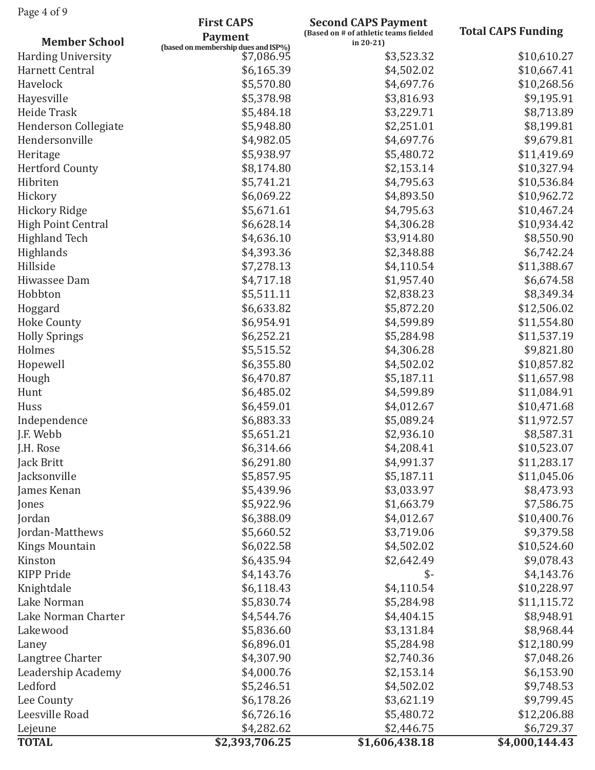Page 4 of 9

| $1$ agc $\pm$ 01 2          | <b>First CAPS</b>                   | <b>Second CAPS Payment</b>            |                           |
|-----------------------------|-------------------------------------|---------------------------------------|---------------------------|
|                             | <b>Payment</b>                      | (Based on # of athletic teams fielded | <b>Total CAPS Funding</b> |
| <b>Member School</b>        | (based on membership dues and ISP%) | in $20-21$ )                          |                           |
| <b>Harding University</b>   | \$7,086.95                          | \$3,523.32                            | \$10,610.27               |
| Harnett Central             | \$6,165.39                          | \$4,502.02                            | \$10,667.41               |
| Havelock                    | \$5,570.80                          | \$4,697.76                            | \$10,268.56               |
| Hayesville                  | \$5,378.98                          | \$3,816.93                            | \$9,195.91                |
| Heide Trask                 | \$5,484.18                          | \$3,229.71                            | \$8,713.89                |
| <b>Henderson Collegiate</b> | \$5,948.80                          | \$2,251.01                            | \$8,199.81                |
| Hendersonville              | \$4,982.05                          | \$4,697.76                            | \$9,679.81                |
| Heritage                    | \$5,938.97                          | \$5,480.72                            | \$11,419.69               |
| <b>Hertford County</b>      | \$8,174.80                          | \$2,153.14                            | \$10,327.94               |
| Hibriten                    | \$5,741.21                          | \$4,795.63                            | \$10,536.84               |
| Hickory                     | \$6,069.22                          | \$4,893.50                            | \$10,962.72               |
| <b>Hickory Ridge</b>        | \$5,671.61                          | \$4,795.63                            | \$10,467.24               |
| <b>High Point Central</b>   | \$6,628.14                          | \$4,306.28                            | \$10,934.42               |
| <b>Highland Tech</b>        | \$4,636.10                          | \$3,914.80                            | \$8,550.90                |
| Highlands                   | \$4,393.36                          | \$2,348.88                            | \$6,742.24                |
| Hillside                    | \$7,278.13                          | \$4,110.54                            | \$11,388.67               |
| Hiwassee Dam                | \$4,717.18                          | \$1,957.40                            | \$6,674.58                |
| Hobbton                     | \$5,511.11                          | \$2,838.23                            | \$8,349.34                |
| Hoggard                     | \$6,633.82                          | \$5,872.20                            | \$12,506.02               |
| <b>Hoke County</b>          | \$6,954.91                          | \$4,599.89                            | \$11,554.80               |
| <b>Holly Springs</b>        | \$6,252.21                          | \$5,284.98                            | \$11,537.19               |
| Holmes                      | \$5,515.52                          | \$4,306.28                            | \$9,821.80                |
| Hopewell                    | \$6,355.80                          | \$4,502.02                            | \$10,857.82               |
| Hough                       | \$6,470.87                          | \$5,187.11                            | \$11,657.98               |
| Hunt                        | \$6,485.02                          | \$4,599.89                            | \$11,084.91               |
| Huss                        | \$6,459.01                          | \$4,012.67                            | \$10,471.68               |
| Independence                | \$6,883.33                          | \$5,089.24                            | \$11,972.57               |
| J.F. Webb                   | \$5,651.21                          | \$2,936.10                            | \$8,587.31                |
| J.H. Rose                   | \$6,314.66                          | \$4,208.41                            | \$10,523.07               |
| Jack Britt                  | \$6,291.80                          | \$4,991.37                            | \$11,283.17               |
| Jacksonville                | \$5,857.95                          | \$5,187.11                            | \$11,045.06               |
| James Kenan                 | \$5,439.96                          | \$3,033.97                            | \$8,473.93                |
| Jones                       | \$5,922.96                          | \$1,663.79                            | \$7,586.75                |
| Jordan                      | \$6,388.09                          | \$4,012.67                            | \$10,400.76               |
| Jordan-Matthews             | \$5,660.52                          | \$3,719.06                            | \$9,379.58                |
| <b>Kings Mountain</b>       | \$6,022.58                          | \$4,502.02                            | \$10,524.60               |
| Kinston                     | \$6,435.94                          | \$2,642.49                            | \$9,078.43                |
| <b>KIPP Pride</b>           | \$4,143.76                          | \$-                                   | \$4,143.76                |
| Knightdale                  | \$6,118.43                          | \$4,110.54                            | \$10,228.97               |
| Lake Norman                 | \$5,830.74                          | \$5,284.98                            | \$11,115.72               |
| Lake Norman Charter         | \$4,544.76                          | \$4,404.15                            | \$8,948.91                |
| Lakewood                    | \$5,836.60                          | \$3,131.84                            | \$8,968.44                |
| Laney                       | \$6,896.01                          | \$5,284.98                            | \$12,180.99               |
| Langtree Charter            | \$4,307.90                          | \$2,740.36                            | \$7,048.26                |
| Leadership Academy          | \$4,000.76                          | \$2,153.14                            | \$6,153.90                |
| Ledford                     | \$5,246.51                          | \$4,502.02                            | \$9,748.53                |
| Lee County                  | \$6,178.26                          | \$3,621.19                            | \$9,799.45                |
| Leesville Road              | \$6,726.16                          | \$5,480.72                            | \$12,206.88               |
| Lejeune                     | \$4,282.62                          | \$2,446.75                            | \$6,729.37                |
| <b>TOTAL</b>                | \$2,393,706.25                      | \$1,606,438.18                        | \$4,000,144.43            |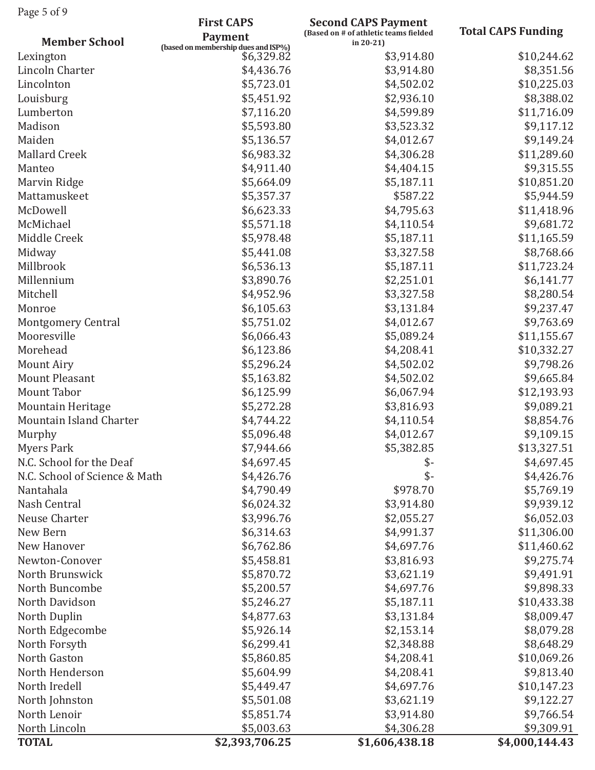Page 5 of 9

|                               | <b>First CAPS</b>                                 | <b>Second CAPS Payment</b>                            |                           |
|-------------------------------|---------------------------------------------------|-------------------------------------------------------|---------------------------|
| <b>Member School</b>          | <b>Payment</b>                                    | (Based on # of athletic teams fielded<br>in $20-21$ ) | <b>Total CAPS Funding</b> |
| Lexington                     | (based on membership dues and ISP%)<br>\$6,329.82 | \$3,914.80                                            | \$10,244.62               |
| Lincoln Charter               | \$4,436.76                                        | \$3,914.80                                            | \$8,351.56                |
| Lincolnton                    | \$5,723.01                                        | \$4,502.02                                            | \$10,225.03               |
| Louisburg                     | \$5,451.92                                        | \$2,936.10                                            | \$8,388.02                |
| Lumberton                     | \$7,116.20                                        | \$4,599.89                                            | \$11,716.09               |
| Madison                       | \$5,593.80                                        | \$3,523.32                                            | \$9,117.12                |
| Maiden                        | \$5,136.57                                        | \$4,012.67                                            | \$9,149.24                |
| <b>Mallard Creek</b>          | \$6,983.32                                        |                                                       |                           |
|                               | \$4,911.40                                        | \$4,306.28                                            | \$11,289.60               |
| Manteo                        |                                                   | \$4,404.15                                            | \$9,315.55                |
| Marvin Ridge                  | \$5,664.09                                        | \$5,187.11                                            | \$10,851.20               |
| Mattamuskeet                  | \$5,357.37                                        | \$587.22                                              | \$5,944.59                |
| McDowell                      | \$6,623.33                                        | \$4,795.63                                            | \$11,418.96               |
| McMichael                     | \$5,571.18                                        | \$4,110.54                                            | \$9,681.72                |
| Middle Creek                  | \$5,978.48                                        | \$5,187.11                                            | \$11,165.59               |
| Midway                        | \$5,441.08                                        | \$3,327.58                                            | \$8,768.66                |
| Millbrook                     | \$6,536.13                                        | \$5,187.11                                            | \$11,723.24               |
| Millennium                    | \$3,890.76                                        | \$2,251.01                                            | \$6,141.77                |
| Mitchell                      | \$4,952.96                                        | \$3,327.58                                            | \$8,280.54                |
| Monroe                        | \$6,105.63                                        | \$3,131.84                                            | \$9,237.47                |
| <b>Montgomery Central</b>     | \$5,751.02                                        | \$4,012.67                                            | \$9,763.69                |
| Mooresville                   | \$6,066.43                                        | \$5,089.24                                            | \$11,155.67               |
| Morehead                      | \$6,123.86                                        | \$4,208.41                                            | \$10,332.27               |
| Mount Airy                    | \$5,296.24                                        | \$4,502.02                                            | \$9,798.26                |
| <b>Mount Pleasant</b>         | \$5,163.82                                        | \$4,502.02                                            | \$9,665.84                |
| <b>Mount Tabor</b>            | \$6,125.99                                        | \$6,067.94                                            | \$12,193.93               |
| <b>Mountain Heritage</b>      | \$5,272.28                                        | \$3,816.93                                            | \$9,089.21                |
| Mountain Island Charter       | \$4,744.22                                        | \$4,110.54                                            | \$8,854.76                |
| Murphy                        | \$5,096.48                                        | \$4,012.67                                            | \$9,109.15                |
| <b>Myers Park</b>             | \$7,944.66                                        | \$5,382.85                                            | \$13,327.51               |
| N.C. School for the Deaf      | \$4,697.45                                        | $$-$                                                  | \$4,697.45                |
| N.C. School of Science & Math | \$4,426.76                                        | $$-$                                                  | \$4,426.76                |
| Nantahala                     | \$4,790.49                                        | \$978.70                                              | \$5,769.19                |
| Nash Central                  | \$6,024.32                                        | \$3,914.80                                            | \$9,939.12                |
| Neuse Charter                 | \$3,996.76                                        | \$2,055.27                                            | \$6,052.03                |
| New Bern                      | \$6,314.63                                        | \$4,991.37                                            | \$11,306.00               |
| New Hanover                   | \$6,762.86                                        | \$4,697.76                                            | \$11,460.62               |
| Newton-Conover                | \$5,458.81                                        | \$3,816.93                                            | \$9,275.74                |
| North Brunswick               | \$5,870.72                                        | \$3,621.19                                            | \$9,491.91                |
| North Buncombe                | \$5,200.57                                        | \$4,697.76                                            | \$9,898.33                |
| North Davidson                | \$5,246.27                                        | \$5,187.11                                            | \$10,433.38               |
| North Duplin                  | \$4,877.63                                        | \$3,131.84                                            | \$8,009.47                |
| North Edgecombe               | \$5,926.14                                        | \$2,153.14                                            | \$8,079.28                |
| North Forsyth                 | \$6,299.41                                        | \$2,348.88                                            | \$8,648.29                |
| North Gaston                  | \$5,860.85                                        | \$4,208.41                                            | \$10,069.26               |
| North Henderson               | \$5,604.99                                        | \$4,208.41                                            | \$9,813.40                |
| North Iredell                 | \$5,449.47                                        | \$4,697.76                                            | \$10,147.23               |
| North Johnston                | \$5,501.08                                        | \$3,621.19                                            | \$9,122.27                |
| North Lenoir                  | \$5,851.74                                        | \$3,914.80                                            | \$9,766.54                |
| North Lincoln                 | \$5,003.63                                        | \$4,306.28                                            | \$9,309.91                |
| <b>TOTAL</b>                  | \$2,393,706.25                                    | \$1,606,438.18                                        | \$4,000,144.43            |
|                               |                                                   |                                                       |                           |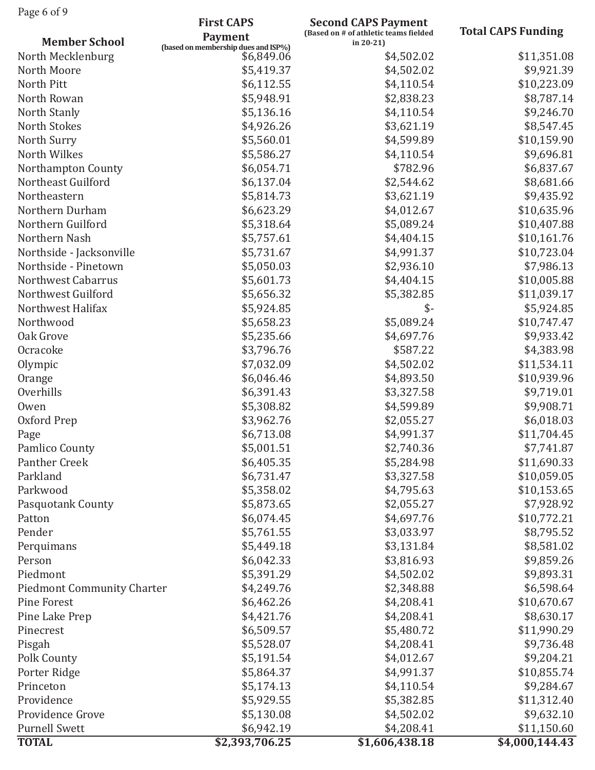Page 6 of 9

| $1$ age $0$ or $\lambda$          | <b>First CAPS</b>                                 | <b>Second CAPS Payment</b>                            |                           |
|-----------------------------------|---------------------------------------------------|-------------------------------------------------------|---------------------------|
| <b>Member School</b>              | <b>Payment</b>                                    | (Based on # of athletic teams fielded<br>in $20-21$ ) | <b>Total CAPS Funding</b> |
| North Mecklenburg                 | (based on membership dues and ISP%)<br>\$6,849.06 | \$4,502.02                                            | \$11,351.08               |
| North Moore                       | \$5,419.37                                        | \$4,502.02                                            | \$9,921.39                |
| North Pitt                        | \$6,112.55                                        | \$4,110.54                                            | \$10,223.09               |
| North Rowan                       | \$5,948.91                                        | \$2,838.23                                            | \$8,787.14                |
| North Stanly                      | \$5,136.16                                        | \$4,110.54                                            | \$9,246.70                |
| North Stokes                      | \$4,926.26                                        | \$3,621.19                                            | \$8,547.45                |
| North Surry                       | \$5,560.01                                        | \$4,599.89                                            | \$10,159.90               |
| North Wilkes                      | \$5,586.27                                        | \$4,110.54                                            | \$9,696.81                |
| Northampton County                | \$6,054.71                                        | \$782.96                                              | \$6,837.67                |
| Northeast Guilford                | \$6,137.04                                        | \$2,544.62                                            | \$8,681.66                |
| Northeastern                      | \$5,814.73                                        | \$3,621.19                                            | \$9,435.92                |
| Northern Durham                   | \$6,623.29                                        | \$4,012.67                                            | \$10,635.96               |
| Northern Guilford                 | \$5,318.64                                        | \$5,089.24                                            | \$10,407.88               |
| Northern Nash                     | \$5,757.61                                        | \$4,404.15                                            | \$10,161.76               |
| Northside - Jacksonville          | \$5,731.67                                        | \$4,991.37                                            | \$10,723.04               |
| Northside - Pinetown              | \$5,050.03                                        | \$2,936.10                                            | \$7,986.13                |
| Northwest Cabarrus                | \$5,601.73                                        | \$4,404.15                                            | \$10,005.88               |
| Northwest Guilford                | \$5,656.32                                        | \$5,382.85                                            | \$11,039.17               |
| Northwest Halifax                 | \$5,924.85                                        | $$-$                                                  | \$5,924.85                |
| Northwood                         | \$5,658.23                                        | \$5,089.24                                            | \$10,747.47               |
| Oak Grove                         | \$5,235.66                                        | \$4,697.76                                            | \$9,933.42                |
| Ocracoke                          | \$3,796.76                                        | \$587.22                                              | \$4,383.98                |
| Olympic                           | \$7,032.09                                        | \$4,502.02                                            | \$11,534.11               |
| Orange                            | \$6,046.46                                        | \$4,893.50                                            | \$10,939.96               |
| Overhills                         | \$6,391.43                                        | \$3,327.58                                            | \$9,719.01                |
| Owen                              | \$5,308.82                                        | \$4,599.89                                            | \$9,908.71                |
| Oxford Prep                       | \$3,962.76                                        | \$2,055.27                                            | \$6,018.03                |
| Page                              | \$6,713.08                                        | \$4,991.37                                            | \$11,704.45               |
| Pamlico County                    | \$5,001.51                                        | \$2,740.36                                            | \$7,741.87                |
| Panther Creek                     | \$6,405.35                                        | \$5,284.98                                            | \$11,690.33               |
| Parkland                          | \$6,731.47                                        | \$3,327.58                                            | \$10,059.05               |
| Parkwood                          | \$5,358.02                                        | \$4,795.63                                            | \$10,153.65               |
| <b>Pasquotank County</b>          | \$5,873.65                                        | \$2,055.27                                            | \$7,928.92                |
| Patton                            | \$6,074.45                                        | \$4,697.76                                            | \$10,772.21               |
| Pender                            | \$5,761.55                                        | \$3,033.97                                            | \$8,795.52                |
| Perquimans                        | \$5,449.18                                        | \$3,131.84                                            | \$8,581.02                |
| Person                            | \$6,042.33                                        | \$3,816.93                                            | \$9,859.26                |
| Piedmont                          | \$5,391.29                                        | \$4,502.02                                            | \$9,893.31                |
| <b>Piedmont Community Charter</b> | \$4,249.76                                        | \$2,348.88                                            | \$6,598.64                |
| Pine Forest                       | \$6,462.26                                        | \$4,208.41                                            | \$10,670.67               |
| Pine Lake Prep                    | \$4,421.76                                        | \$4,208.41                                            | \$8,630.17                |
| Pinecrest                         | \$6,509.57                                        | \$5,480.72                                            | \$11,990.29               |
| Pisgah                            | \$5,528.07                                        | \$4,208.41                                            | \$9,736.48                |
| Polk County                       | \$5,191.54                                        | \$4,012.67                                            | \$9,204.21                |
| Porter Ridge                      | \$5,864.37                                        | \$4,991.37                                            | \$10,855.74               |
| Princeton                         | \$5,174.13                                        | \$4,110.54                                            | \$9,284.67                |
| Providence                        | \$5,929.55                                        | \$5,382.85                                            | \$11,312.40               |
| Providence Grove                  | \$5,130.08                                        | \$4,502.02                                            | \$9,632.10                |
| <b>Purnell Swett</b>              | \$6,942.19                                        | \$4,208.41                                            | \$11,150.60               |
| <b>TOTAL</b>                      | \$2,393,706.25                                    | \$1,606,438.18                                        | \$4,000,144.43            |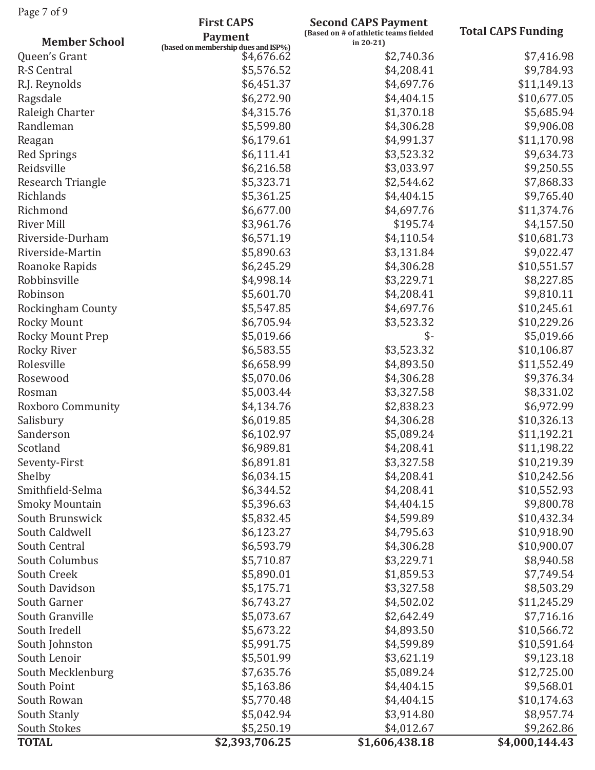Page 7 of 9

| $1 \text{ g}$ c / 01 $\prime$ | <b>First CAPS</b>                   | <b>Second CAPS Payment</b>            |                           |
|-------------------------------|-------------------------------------|---------------------------------------|---------------------------|
| <b>Member School</b>          | <b>Payment</b>                      | (Based on # of athletic teams fielded | <b>Total CAPS Funding</b> |
| Queen's Grant                 | (based on membership dues and ISP%) | in $20-21$ )<br>\$2,740.36            | \$7,416.98                |
| <b>R-S Central</b>            | \$4,676.62<br>\$5,576.52            | \$4,208.41                            | \$9,784.93                |
| R.J. Reynolds                 | \$6,451.37                          | \$4,697.76                            | \$11,149.13               |
| Ragsdale                      | \$6,272.90                          | \$4,404.15                            | \$10,677.05               |
| Raleigh Charter               | \$4,315.76                          | \$1,370.18                            |                           |
| Randleman                     | \$5,599.80                          | \$4,306.28                            | \$5,685.94                |
|                               |                                     | \$4,991.37                            | \$9,906.08                |
| Reagan                        | \$6,179.61                          |                                       | \$11,170.98               |
| <b>Red Springs</b>            | \$6,111.41                          | \$3,523.32                            | \$9,634.73                |
| Reidsville                    | \$6,216.58                          | \$3,033.97                            | \$9,250.55                |
| Research Triangle             | \$5,323.71                          | \$2,544.62                            | \$7,868.33                |
| Richlands                     | \$5,361.25                          | \$4,404.15                            | \$9,765.40                |
| Richmond                      | \$6,677.00                          | \$4,697.76                            | \$11,374.76               |
| <b>River Mill</b>             | \$3,961.76                          | \$195.74                              | \$4,157.50                |
| Riverside-Durham              | \$6,571.19                          | \$4,110.54                            | \$10,681.73               |
| Riverside-Martin              | \$5,890.63                          | \$3,131.84                            | \$9,022.47                |
| Roanoke Rapids                | \$6,245.29                          | \$4,306.28                            | \$10,551.57               |
| Robbinsville                  | \$4,998.14                          | \$3,229.71                            | \$8,227.85                |
| Robinson                      | \$5,601.70                          | \$4,208.41                            | \$9,810.11                |
| Rockingham County             | \$5,547.85                          | \$4,697.76                            | \$10,245.61               |
| <b>Rocky Mount</b>            | \$6,705.94                          | \$3,523.32                            | \$10,229.26               |
| <b>Rocky Mount Prep</b>       | \$5,019.66                          | $$-$                                  | \$5,019.66                |
| Rocky River                   | \$6,583.55                          | \$3,523.32                            | \$10,106.87               |
| Rolesville                    | \$6,658.99                          | \$4,893.50                            | \$11,552.49               |
| Rosewood                      | \$5,070.06                          | \$4,306.28                            | \$9,376.34                |
| Rosman                        | \$5,003.44                          | \$3,327.58                            | \$8,331.02                |
| Roxboro Community             | \$4,134.76                          | \$2,838.23                            | \$6,972.99                |
| Salisbury                     | \$6,019.85                          | \$4,306.28                            | \$10,326.13               |
| Sanderson                     | \$6,102.97                          | \$5,089.24                            | \$11,192.21               |
| Scotland                      | \$6,989.81                          | \$4,208.41                            | \$11,198.22               |
| Seventy-First                 | \$6,891.81                          | \$3,327.58                            | \$10,219.39               |
| Shelby                        | \$6,034.15                          | \$4,208.41                            | \$10,242.56               |
| Smithfield-Selma              | \$6,344.52                          | \$4,208.41                            | \$10,552.93               |
| <b>Smoky Mountain</b>         | \$5,396.63                          | \$4,404.15                            | \$9,800.78                |
| South Brunswick               | \$5,832.45                          | \$4,599.89                            | \$10,432.34               |
| South Caldwell                | \$6,123.27                          | \$4,795.63                            | \$10,918.90               |
| South Central                 | \$6,593.79                          | \$4,306.28                            | \$10,900.07               |
| South Columbus                | \$5,710.87                          | \$3,229.71                            | \$8,940.58                |
| South Creek                   | \$5,890.01                          | \$1,859.53                            | \$7,749.54                |
| South Davidson                | \$5,175.71                          | \$3,327.58                            | \$8,503.29                |
| South Garner                  | \$6,743.27                          | \$4,502.02                            | \$11,245.29               |
| South Granville               | \$5,073.67                          | \$2,642.49                            | \$7,716.16                |
| South Iredell                 | \$5,673.22                          | \$4,893.50                            | \$10,566.72               |
| South Johnston                | \$5,991.75                          | \$4,599.89                            | \$10,591.64               |
| South Lenoir                  | \$5,501.99                          | \$3,621.19                            | \$9,123.18                |
| South Mecklenburg             | \$7,635.76                          | \$5,089.24                            | \$12,725.00               |
| South Point                   | \$5,163.86                          | \$4,404.15                            | \$9,568.01                |
| South Rowan                   | \$5,770.48                          | \$4,404.15                            | \$10,174.63               |
| South Stanly                  | \$5,042.94                          | \$3,914.80                            | \$8,957.74                |
| South Stokes                  | \$5,250.19                          | \$4,012.67                            | \$9,262.86                |
| <b>TOTAL</b>                  | \$2,393,706.25                      | \$1,606,438.18                        | \$4,000,144.43            |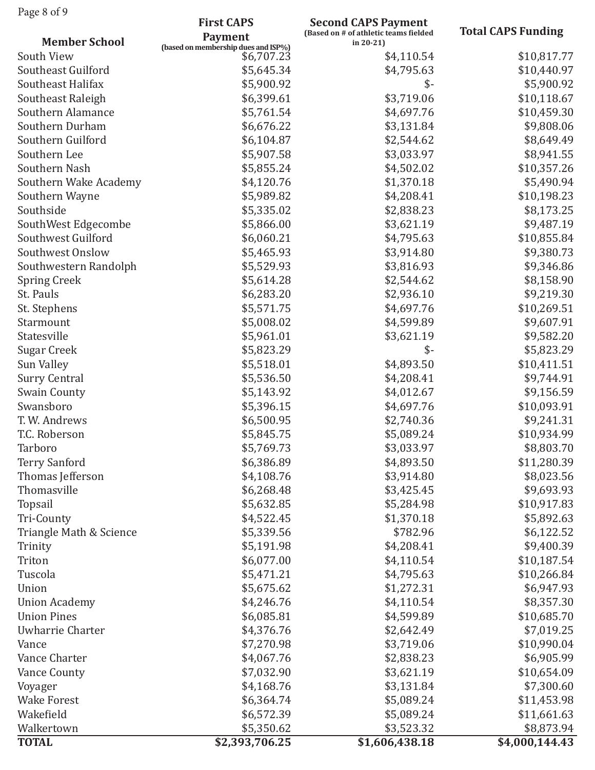Page 8 of 9

|                               | <b>First CAPS</b>                                 | <b>Second CAPS Payment</b>                            |                              |
|-------------------------------|---------------------------------------------------|-------------------------------------------------------|------------------------------|
| <b>Member School</b>          | <b>Payment</b>                                    | (Based on # of athletic teams fielded<br>in $20-21$ ) | <b>Total CAPS Funding</b>    |
| South View                    | (based on membership dues and ISP%)<br>\$6,707.23 | \$4,110.54                                            | \$10,817.77                  |
| Southeast Guilford            | \$5,645.34                                        | \$4,795.63                                            | \$10,440.97                  |
| Southeast Halifax             | \$5,900.92                                        | $$-$                                                  | \$5,900.92                   |
| Southeast Raleigh             | \$6,399.61                                        | \$3,719.06                                            | \$10,118.67                  |
| Southern Alamance             | \$5,761.54                                        | \$4,697.76                                            | \$10,459.30                  |
| Southern Durham               | \$6,676.22                                        | \$3,131.84                                            | \$9,808.06                   |
| Southern Guilford             | \$6,104.87                                        | \$2,544.62                                            | \$8,649.49                   |
| Southern Lee                  | \$5,907.58                                        | \$3,033.97                                            | \$8,941.55                   |
| Southern Nash                 | \$5,855.24                                        | \$4,502.02                                            | \$10,357.26                  |
| Southern Wake Academy         | \$4,120.76                                        | \$1,370.18                                            | \$5,490.94                   |
| Southern Wayne                | \$5,989.82                                        | \$4,208.41                                            | \$10,198.23                  |
| Southside                     | \$5,335.02                                        | \$2,838.23                                            | \$8,173.25                   |
| SouthWest Edgecombe           | \$5,866.00                                        | \$3,621.19                                            | \$9,487.19                   |
| Southwest Guilford            | \$6,060.21                                        | \$4,795.63                                            | \$10,855.84                  |
| Southwest Onslow              | \$5,465.93                                        | \$3,914.80                                            | \$9,380.73                   |
| Southwestern Randolph         | \$5,529.93                                        | \$3,816.93                                            | \$9,346.86                   |
| <b>Spring Creek</b>           | \$5,614.28                                        | \$2,544.62                                            | \$8,158.90                   |
| St. Pauls                     | \$6,283.20                                        | \$2,936.10                                            | \$9,219.30                   |
| St. Stephens                  | \$5,571.75                                        | \$4,697.76                                            | \$10,269.51                  |
| Starmount                     | \$5,008.02                                        | \$4,599.89                                            | \$9,607.91                   |
| Statesville                   | \$5,961.01                                        | \$3,621.19                                            | \$9,582.20                   |
| <b>Sugar Creek</b>            | \$5,823.29                                        | $$-$                                                  | \$5,823.29                   |
| Sun Valley                    | \$5,518.01                                        | \$4,893.50                                            | \$10,411.51                  |
| <b>Surry Central</b>          | \$5,536.50                                        | \$4,208.41                                            | \$9,744.91                   |
| <b>Swain County</b>           | \$5,143.92                                        | \$4,012.67                                            | \$9,156.59                   |
| Swansboro                     | \$5,396.15                                        | \$4,697.76                                            | \$10,093.91                  |
| T. W. Andrews                 | \$6,500.95                                        | \$2,740.36                                            | \$9,241.31                   |
| T.C. Roberson                 | \$5,845.75                                        | \$5,089.24                                            | \$10,934.99                  |
| <b>Tarboro</b>                | \$5,769.73                                        | \$3,033.97                                            | \$8,803.70                   |
| <b>Terry Sanford</b>          | \$6,386.89                                        | \$4,893.50                                            | \$11,280.39                  |
| Thomas Jefferson              | \$4,108.76                                        | \$3,914.80                                            | \$8,023.56                   |
| Thomasville                   | \$6,268.48                                        | \$3,425.45                                            | \$9,693.93                   |
| Topsail                       | \$5,632.85                                        | \$5,284.98                                            | \$10,917.83                  |
| Tri-County                    | \$4,522.45                                        | \$1,370.18                                            | \$5,892.63                   |
| Triangle Math & Science       | \$5,339.56                                        | \$782.96                                              | \$6,122.52                   |
| Trinity                       | \$5,191.98                                        | \$4,208.41                                            | \$9,400.39                   |
| Triton                        | \$6,077.00                                        | \$4,110.54                                            | \$10,187.54                  |
| Tuscola                       | \$5,471.21                                        | \$4,795.63                                            | \$10,266.84                  |
| Union                         | \$5,675.62                                        | \$1,272.31                                            | \$6,947.93                   |
| <b>Union Academy</b>          | \$4,246.76                                        | \$4,110.54                                            | \$8,357.30                   |
| <b>Union Pines</b>            | \$6,085.81                                        | \$4,599.89                                            | \$10,685.70                  |
| Uwharrie Charter              | \$4,376.76                                        | \$2,642.49                                            | \$7,019.25                   |
|                               |                                                   |                                                       |                              |
| Vance<br>Vance Charter        | \$7,270.98<br>\$4,067.76                          | \$3,719.06<br>\$2,838.23                              | \$10,990.04<br>\$6,905.99    |
| Vance County                  | \$7,032.90                                        | \$3,621.19                                            | \$10,654.09                  |
|                               | \$4,168.76                                        |                                                       |                              |
| Voyager<br><b>Wake Forest</b> | \$6,364.74                                        | \$3,131.84<br>\$5,089.24                              | \$7,300.60<br>\$11,453.98    |
| Wakefield                     | \$6,572.39                                        |                                                       | \$11,661.63                  |
| Walkertown                    | \$5,350.62                                        | \$5,089.24<br>\$3,523.32                              |                              |
| <b>TOTAL</b>                  | \$2,393,706.25                                    | \$1,606,438.18                                        | \$8,873.94<br>\$4,000,144.43 |
|                               |                                                   |                                                       |                              |